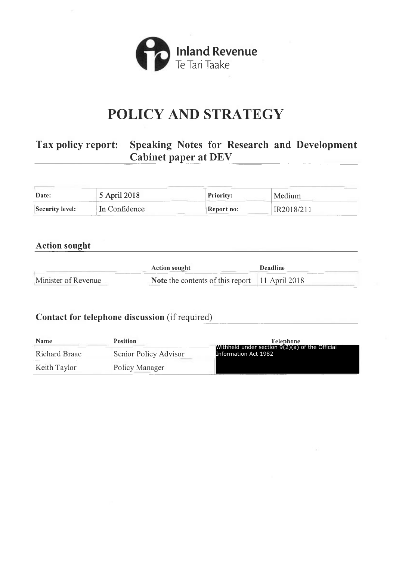

# **POLICY AND STRATEGY**

# **Tax policy report: Speaking Notes for Research and Development Cabinet paper at DEV**

| Date:           | 5 April 2018  | <b>Priority:</b> | Medium     |
|-----------------|---------------|------------------|------------|
| Security level: | In Confidence | Report no:       | ER2018/21° |

# **Action sought**

|                     | <b>Action sought</b>                                          | <b>Deadline</b> |
|---------------------|---------------------------------------------------------------|-----------------|
| Minister of Revenue | <b>Note</b> the contents of this report $\vert$ 11 April 2018 |                 |

## **Contact for telephone discussion** (if required)

| <b>Name</b>   | <b>Position</b>       | <b>Telephone</b><br>Withheld under section $9(2)(a)$ of the Official<br>Information Act 1982 |  |
|---------------|-----------------------|----------------------------------------------------------------------------------------------|--|
| Richard Braae | Senior Policy Advisor |                                                                                              |  |
| Keith Taylor  | Policy Manager        |                                                                                              |  |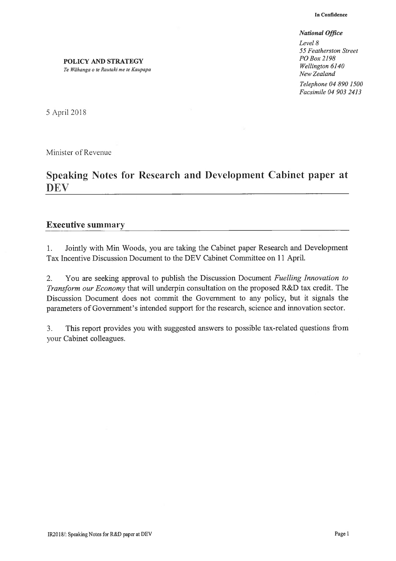#### *National Office*

Level 8 *55 Featherston Street POBox2198 Wellington 6140 New Zealand Telephone 04 890 1500 Facsimile 04 903 2413* 

POLICY AND STRATEGY *Te Wiihanga o te Rautaki me te Kaupapa* 

5 April2018

Minister of Revenue

# Speaking Notes for Research and Development Cabinet paper at DEV

#### Executive summary

1. Jointly with Min Woods, you are taking the Cabinet paper Research and Development Tax Incentive Discussion Document to the DEV Cabinet Committee on 11 April.

2. You are seeking approval to publish the Discussion Document *Fuelling Innovation to Transform our Economy* that will underpin consultation on the proposed R&D tax credit. The Discussion Document does not commit the Government to any policy, but it signals the parameters of Government's intended support for the research, science and innovation sector.

3. This report provides you with suggested answers to possible tax-related questions from your Cabinet colleagues.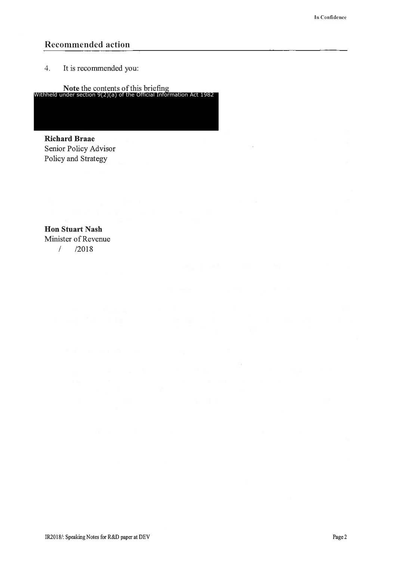### **Recommended action**

4. It is recommended you:

**Note** the contents of this briefing Withheld under section 9(2)(a) of the Official Information Act 1982

**Richard Braae**  Senior Policy Advisor Policy and Strategy

**Hon Stuart Nash**  Minister of Revenue I /2018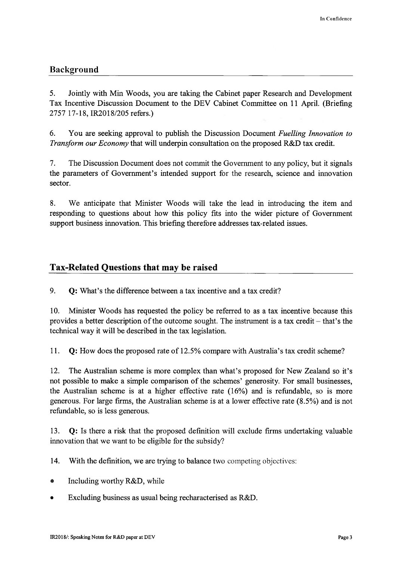# **Background**

5. Jointly with Min Woods, you are taking the Cabinet paper Research and Development Tax Incentive Discussion Document to the DEV Cabinet Committee on 11 April. (Briefing 2757 17-18, IR2018/205 refers.)

6. You are seeking approval to publish the Discussion Document *Fuelling Innovation to Transform our Economy* that will underpin consultation on the proposed R&D tax credit.

7. The Discussion Document does not commit the Government to any policy, but it signals the parameters of Government's intended support for the research, science and innovation sector.

8. We anticipate that Minister Woods will take the lead in introducing the item and responding to questions about how this policy fits into the wider picture of Government support business innovation. This briefing therefore addresses tax-related issues.

## **Tax-Related Questions that may be raised**

9. **Q:** What's the difference between a tax incentive and a tax credit?

10. Minister Woods has requested the policy be referred to as a tax incentive because this provides a better description of the outcome sought. The instrument is a tax credit  $-$  that's the technical way it will be described in the tax legislation.

11. **Q:** How does the proposed rate of 12.5% compare with Australia's tax credit scheme?

12. The Australian scheme is more complex than what's proposed for New Zealand so it's not possible to make a simple comparison of the schemes' generosity. For small businesses, the Australian scheme is at a higher effective rate ( 16%) and is refundable, so is more generous. For large firms, the Australian scheme is at a lower effective rate (8.5%) and is not refundable, so is less generous.

13. **Q:** Is there a risk that the proposed defmition will exclude firms undertaking valuable innovation that we want to be eligible for the subsidy?

14. With the definition, we are trying to balance two competing objectives:

- Including worthy R&D, while
- Excluding business as usual being recharacterised as R&D.